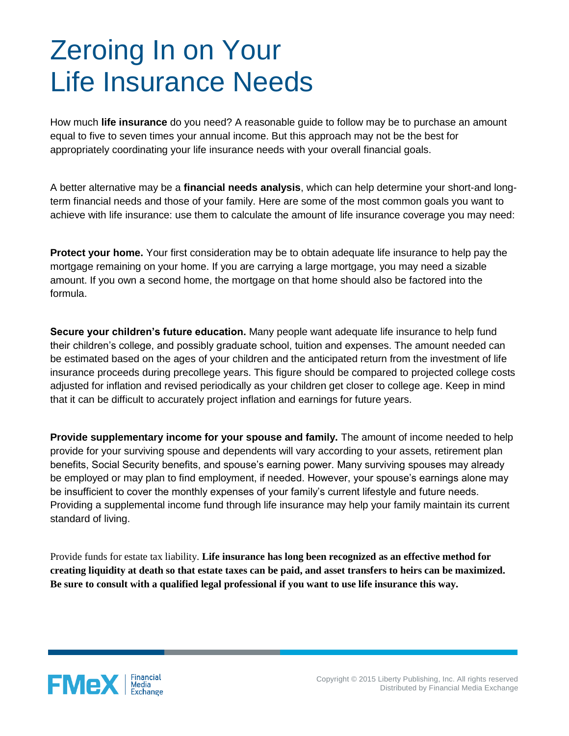## Zeroing In on Your Life Insurance Needs

How much **life insurance** do you need? A reasonable guide to follow may be to purchase an amount equal to five to seven times your annual income. But this approach may not be the best for appropriately coordinating your life insurance needs with your overall financial goals.

A better alternative may be a **financial needs analysis**, which can help determine your short-and longterm financial needs and those of your family. Here are some of the most common goals you want to achieve with life insurance: use them to calculate the amount of life insurance coverage you may need:

**Protect your home.** Your first consideration may be to obtain adequate life insurance to help pay the mortgage remaining on your home. If you are carrying a large mortgage, you may need a sizable amount. If you own a second home, the mortgage on that home should also be factored into the formula.

**Secure your children's future education.** Many people want adequate life insurance to help fund their children's college, and possibly graduate school, tuition and expenses. The amount needed can be estimated based on the ages of your children and the anticipated return from the investment of life insurance proceeds during precollege years. This figure should be compared to projected college costs adjusted for inflation and revised periodically as your children get closer to college age. Keep in mind that it can be difficult to accurately project inflation and earnings for future years.

**Provide supplementary income for your spouse and family.** The amount of income needed to help provide for your surviving spouse and dependents will vary according to your assets, retirement plan benefits, Social Security benefits, and spouse's earning power. Many surviving spouses may already be employed or may plan to find employment, if needed. However, your spouse's earnings alone may be insufficient to cover the monthly expenses of your family's current lifestyle and future needs. Providing a supplemental income fund through life insurance may help your family maintain its current standard of living.

Provide funds for estate tax liability. **Life insurance has long been recognized as an effective method for creating liquidity at death so that estate taxes can be paid, and asset transfers to heirs can be maximized. Be sure to consult with a qualified legal professional if you want to use life insurance this way.**